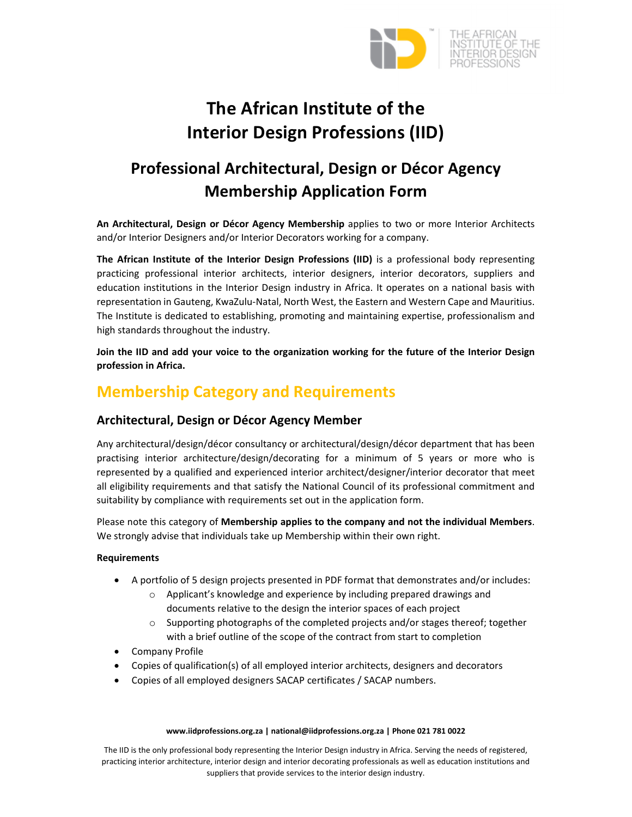

# **The African Institute of the Interior Design Professions (IID)**

# **Professional Architectural, Design or Décor Agency Membership Application Form**

**An Architectural, Design or Décor Agency Membership** applies to two or more Interior Architects and/or Interior Designers and/or Interior Decorators working for a company.

**The African Institute of the Interior Design Professions (IID)** is a professional body representing practicing professional interior architects, interior designers, interior decorators, suppliers and education institutions in the Interior Design industry in Africa. It operates on a national basis with representation in Gauteng, KwaZulu‐Natal, North West, the Eastern and Western Cape and Mauritius. The Institute is dedicated to establishing, promoting and maintaining expertise, professionalism and high standards throughout the industry.

**Join the IID and add your voice to the organization working for the future of the Interior Design profession in Africa.**

# **Membership Category and Requirements**

# **Architectural, Design or Décor Agency Member**

Any architectural/design/décor consultancy or architectural/design/décor department that has been practising interior architecture/design/decorating for a minimum of 5 years or more who is represented by a qualified and experienced interior architect/designer/interior decorator that meet all eligibility requirements and that satisfy the National Council of its professional commitment and suitability by compliance with requirements set out in the application form.

Please note this category of **Membership applies to the company and not the individual Members**. We strongly advise that individuals take up Membership within their own right.

# **Requirements**

- A portfolio of 5 design projects presented in PDF format that demonstrates and/or includes:
	- o Applicant's knowledge and experience by including prepared drawings and documents relative to the design the interior spaces of each project
	- $\circ$  Supporting photographs of the completed projects and/or stages thereof; together with a brief outline of the scope of the contract from start to completion
- Company Profile
- Copies of qualification(s) of all employed interior architects, designers and decorators
- Copies of all employed designers SACAP certificates / SACAP numbers.

#### **www.iidprofessions.org.za | national@iidprofessions.org.za | Phone 021 781 0022**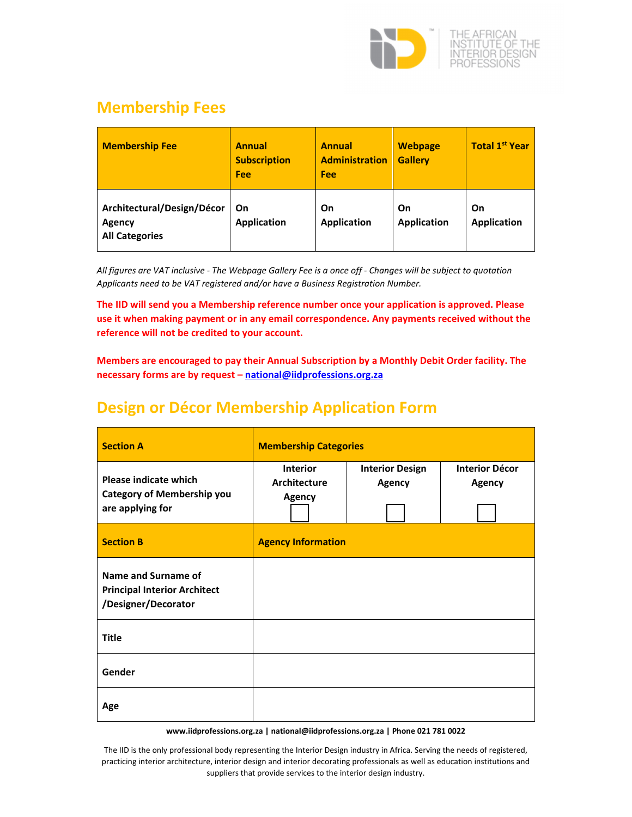

# **Membership Fees**

| <b>Membership Fee</b>                                         | <b>Annual</b><br><b>Subscription</b><br>Fee | <b>Annual</b><br><b>Administration</b><br>Fee | <b>Webpage</b><br><b>Gallery</b> | <b>Total 1st Year</b>    |
|---------------------------------------------------------------|---------------------------------------------|-----------------------------------------------|----------------------------------|--------------------------|
| Architectural/Design/Décor<br>Agency<br><b>All Categories</b> | On<br><b>Application</b>                    | On<br><b>Application</b>                      | On<br><b>Application</b>         | On<br><b>Application</b> |

All figures are VAT inclusive - The Webpage Gallery Fee is a once off - Changes will be subject to quotation *Applicants need to be VAT registered and/or have a Business Registration Number.*

**The IID will send you a Membership reference number once your application is approved. Please use it when making payment or in any email correspondence. Any payments received without the reference will not be credited to your account.** 

**Members are encouraged to pay their Annual Subscription by a Monthly Debit Order facility. The necessary forms are by request – national@iidprofessions.org.za** 

# **Design or Décor Membership Application Form**

| <b>Section A</b>                                                                  | <b>Membership Categories</b>                     |                                         |                                        |
|-----------------------------------------------------------------------------------|--------------------------------------------------|-----------------------------------------|----------------------------------------|
| Please indicate which<br><b>Category of Membership you</b><br>are applying for    | <b>Interior</b><br>Architecture<br><b>Agency</b> | <b>Interior Design</b><br><b>Agency</b> | <b>Interior Décor</b><br><b>Agency</b> |
| <b>Section B</b>                                                                  | <b>Agency Information</b>                        |                                         |                                        |
| Name and Surname of<br><b>Principal Interior Architect</b><br>/Designer/Decorator |                                                  |                                         |                                        |
| <b>Title</b>                                                                      |                                                  |                                         |                                        |
| Gender                                                                            |                                                  |                                         |                                        |
| Age                                                                               |                                                  |                                         |                                        |

**www.iidprofessions.org.za | national@iidprofessions.org.za | Phone 021 781 0022**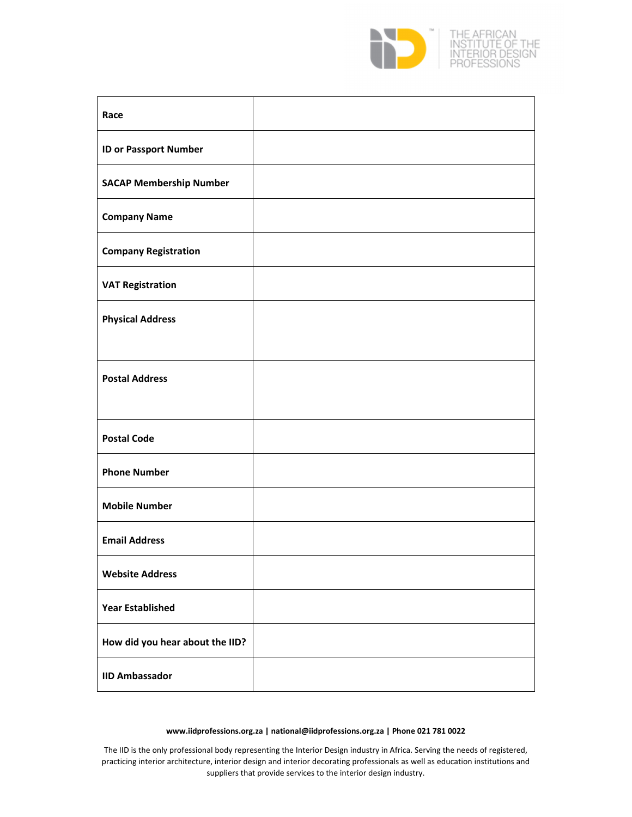

| Race                            |  |
|---------------------------------|--|
| <b>ID or Passport Number</b>    |  |
| <b>SACAP Membership Number</b>  |  |
| <b>Company Name</b>             |  |
| <b>Company Registration</b>     |  |
| <b>VAT Registration</b>         |  |
| <b>Physical Address</b>         |  |
|                                 |  |
| <b>Postal Address</b>           |  |
|                                 |  |
| <b>Postal Code</b>              |  |
| <b>Phone Number</b>             |  |
| <b>Mobile Number</b>            |  |
| <b>Email Address</b>            |  |
| <b>Website Address</b>          |  |
| <b>Year Established</b>         |  |
| How did you hear about the IID? |  |
| <b>IID Ambassador</b>           |  |

#### **www.iidprofessions.org.za | national@iidprofessions.org.za | Phone 021 781 0022**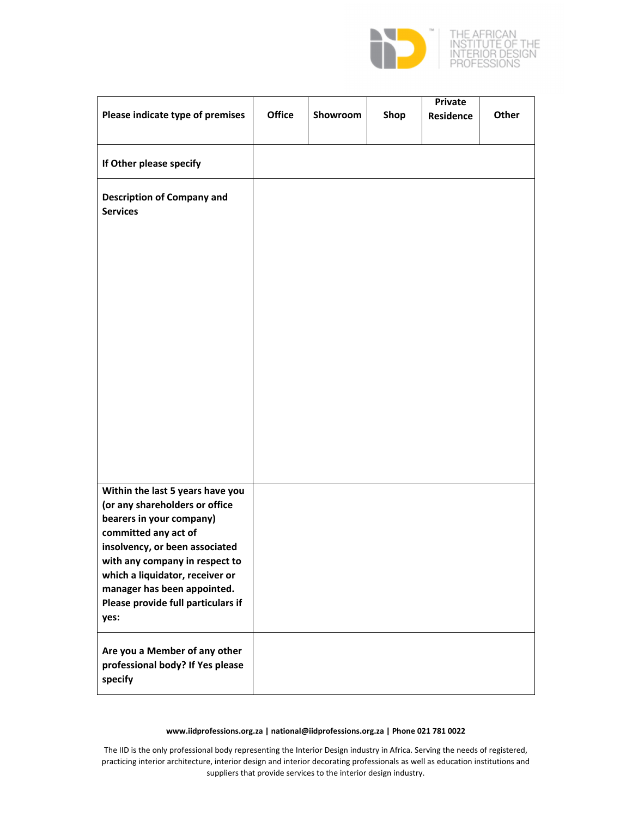

|                                                                | <b>Office</b> | Showroom |      | <b>Private</b>   | Other |
|----------------------------------------------------------------|---------------|----------|------|------------------|-------|
| Please indicate type of premises                               |               |          | Shop | <b>Residence</b> |       |
|                                                                |               |          |      |                  |       |
| If Other please specify                                        |               |          |      |                  |       |
| <b>Description of Company and</b><br><b>Services</b>           |               |          |      |                  |       |
|                                                                |               |          |      |                  |       |
|                                                                |               |          |      |                  |       |
|                                                                |               |          |      |                  |       |
|                                                                |               |          |      |                  |       |
|                                                                |               |          |      |                  |       |
|                                                                |               |          |      |                  |       |
|                                                                |               |          |      |                  |       |
|                                                                |               |          |      |                  |       |
|                                                                |               |          |      |                  |       |
|                                                                |               |          |      |                  |       |
| Within the last 5 years have you                               |               |          |      |                  |       |
| (or any shareholders or office<br>bearers in your company)     |               |          |      |                  |       |
| committed any act of<br>insolvency, or been associated         |               |          |      |                  |       |
| with any company in respect to                                 |               |          |      |                  |       |
| which a liquidator, receiver or<br>manager has been appointed. |               |          |      |                  |       |
| Please provide full particulars if<br>yes:                     |               |          |      |                  |       |
| Are you a Member of any other                                  |               |          |      |                  |       |
| professional body? If Yes please<br>specify                    |               |          |      |                  |       |

#### **www.iidprofessions.org.za | national@iidprofessions.org.za | Phone 021 781 0022**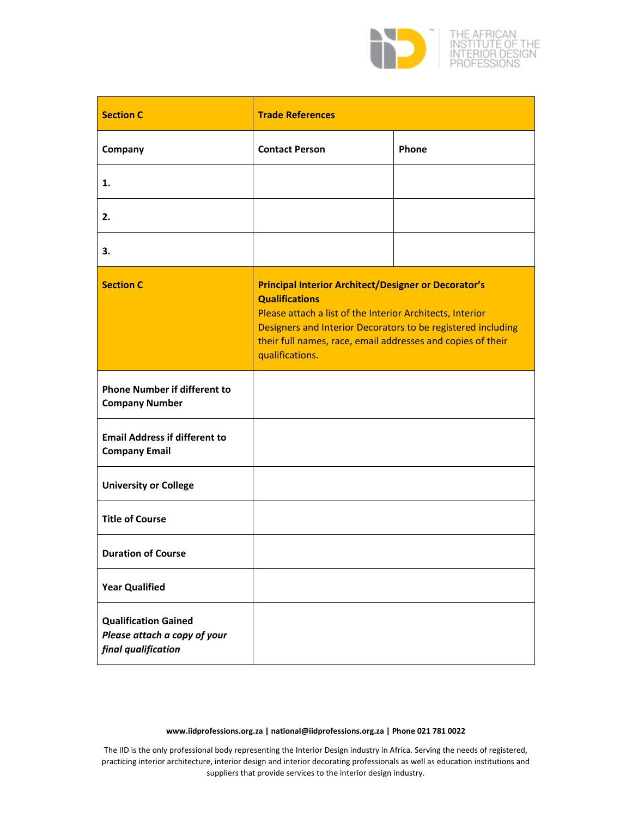

| <b>Section C</b>                                                                   | <b>Trade References</b>                                                                                                                                                                                                                                                                             |       |
|------------------------------------------------------------------------------------|-----------------------------------------------------------------------------------------------------------------------------------------------------------------------------------------------------------------------------------------------------------------------------------------------------|-------|
| Company                                                                            | <b>Contact Person</b>                                                                                                                                                                                                                                                                               | Phone |
| 1.                                                                                 |                                                                                                                                                                                                                                                                                                     |       |
| 2.                                                                                 |                                                                                                                                                                                                                                                                                                     |       |
| 3.                                                                                 |                                                                                                                                                                                                                                                                                                     |       |
| <b>Section C</b>                                                                   | <b>Principal Interior Architect/Designer or Decorator's</b><br><b>Qualifications</b><br>Please attach a list of the Interior Architects, Interior<br>Designers and Interior Decorators to be registered including<br>their full names, race, email addresses and copies of their<br>qualifications. |       |
| <b>Phone Number if different to</b><br><b>Company Number</b>                       |                                                                                                                                                                                                                                                                                                     |       |
| <b>Email Address if different to</b><br><b>Company Email</b>                       |                                                                                                                                                                                                                                                                                                     |       |
| <b>University or College</b>                                                       |                                                                                                                                                                                                                                                                                                     |       |
| <b>Title of Course</b>                                                             |                                                                                                                                                                                                                                                                                                     |       |
| <b>Duration of Course</b>                                                          |                                                                                                                                                                                                                                                                                                     |       |
| <b>Year Qualified</b>                                                              |                                                                                                                                                                                                                                                                                                     |       |
| <b>Qualification Gained</b><br>Please attach a copy of your<br>final qualification |                                                                                                                                                                                                                                                                                                     |       |

#### **www.iidprofessions.org.za | national@iidprofessions.org.za | Phone 021 781 0022**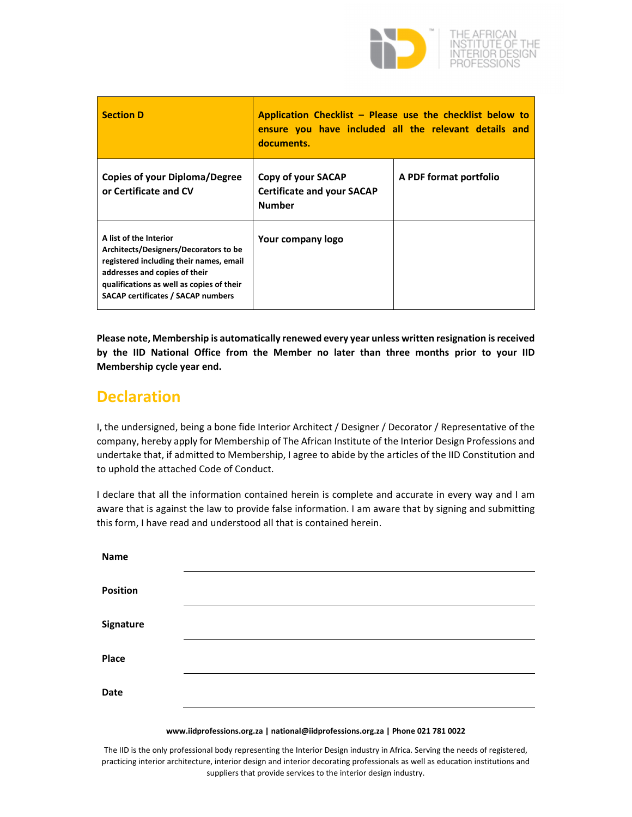

| <b>Section D</b>                                                                                                                                                                                                                      | Application Checklist - Please use the checklist below to<br>ensure you have included all the relevant details and<br>documents. |                        |
|---------------------------------------------------------------------------------------------------------------------------------------------------------------------------------------------------------------------------------------|----------------------------------------------------------------------------------------------------------------------------------|------------------------|
| <b>Copies of your Diploma/Degree</b><br>or Certificate and CV                                                                                                                                                                         | Copy of your SACAP<br><b>Certificate and your SACAP</b><br><b>Number</b>                                                         | A PDF format portfolio |
| A list of the Interior<br>Architects/Designers/Decorators to be<br>registered including their names, email<br>addresses and copies of their<br>qualifications as well as copies of their<br><b>SACAP certificates / SACAP numbers</b> | Your company logo                                                                                                                |                        |

**Please note, Membership is automatically renewed every year unless written resignation isreceived by the IID National Office from the Member no later than three months prior to your IID Membership cycle year end.**

# **Declaration**

I, the undersigned, being a bone fide Interior Architect / Designer / Decorator / Representative of the company, hereby apply for Membership of The African Institute of the Interior Design Professions and undertake that, if admitted to Membership, I agree to abide by the articles of the IID Constitution and to uphold the attached Code of Conduct.

I declare that all the information contained herein is complete and accurate in every way and I am aware that is against the law to provide false information. I am aware that by signing and submitting this form, I have read and understood all that is contained herein.

| <b>Name</b>     |  |
|-----------------|--|
| <b>Position</b> |  |
| Signature       |  |
| Place           |  |
| Date            |  |
|                 |  |

#### **www.iidprofessions.org.za | national@iidprofessions.org.za | Phone 021 781 0022**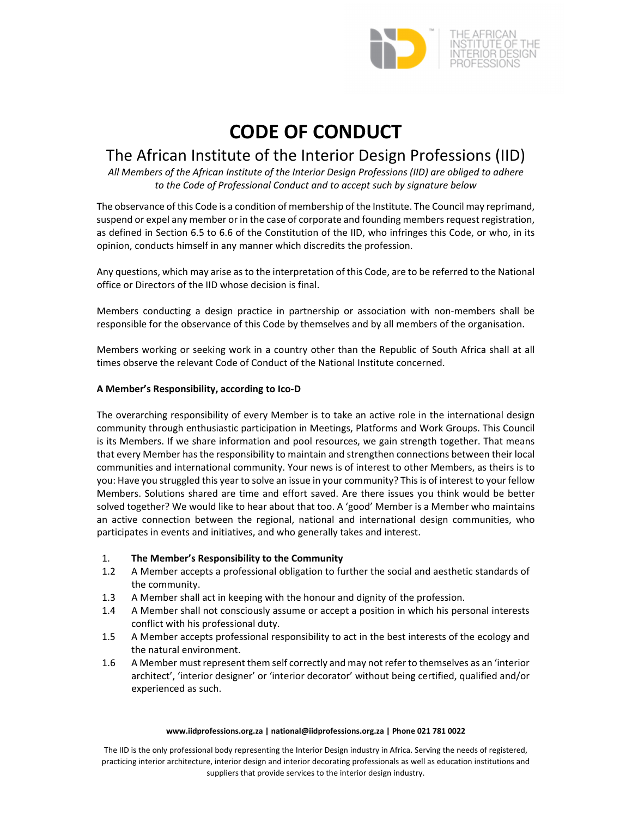

# **CODE OF CONDUCT**

# The African Institute of the Interior Design Professions (IID)

*All Members of the African Institute of the Interior Design Professions (IID) are obliged to adhere to the Code of Professional Conduct and to accept such by signature below*

The observance of this Code is a condition of membership of the Institute. The Council may reprimand, suspend or expel any member or in the case of corporate and founding members request registration, as defined in Section 6.5 to 6.6 of the Constitution of the IID, who infringes this Code, or who, in its opinion, conducts himself in any manner which discredits the profession.

Any questions, which may arise as to the interpretation of this Code, are to be referred to the National office or Directors of the IID whose decision is final.

Members conducting a design practice in partnership or association with non-members shall be responsible for the observance of this Code by themselves and by all members of the organisation.

Members working or seeking work in a country other than the Republic of South Africa shall at all times observe the relevant Code of Conduct of the National Institute concerned.

# **A Member's Responsibility, according to Ico‐D**

The overarching responsibility of every Member is to take an active role in the international design community through enthusiastic participation in Meetings, Platforms and Work Groups. This Council is its Members. If we share information and pool resources, we gain strength together. That means that every Member has the responsibility to maintain and strengthen connections between their local communities and international community. Your news is of interest to other Members, as theirs is to you: Have you struggled this year to solve an issue in your community? Thisis of interest to your fellow Members. Solutions shared are time and effort saved. Are there issues you think would be better solved together? We would like to hear about that too. A 'good' Member is a Member who maintains an active connection between the regional, national and international design communities, who participates in events and initiatives, and who generally takes and interest.

# 1. **The Member's Responsibility to the Community**

- 1.2 A Member accepts a professional obligation to further the social and aesthetic standards of the community.
- 1.3 A Member shall act in keeping with the honour and dignity of the profession.
- 1.4 A Member shall not consciously assume or accept a position in which his personal interests conflict with his professional duty.
- 1.5 A Member accepts professional responsibility to act in the best interests of the ecology and the natural environment.
- 1.6 A Member must represent them self correctly and may not refer to themselves as an 'interior architect', 'interior designer' or 'interior decorator' without being certified, qualified and/or experienced as such.

#### **www.iidprofessions.org.za | national@iidprofessions.org.za | Phone 021 781 0022**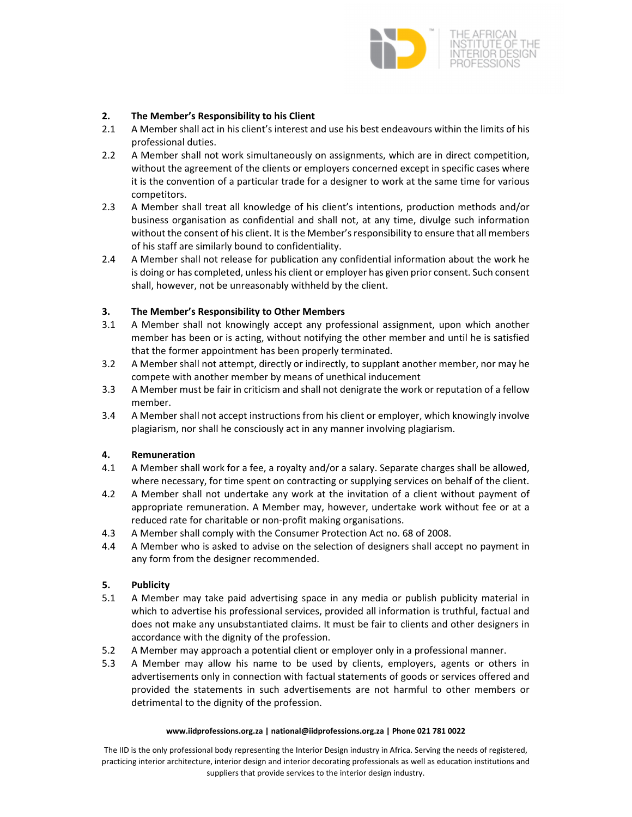

# **2. The Member's Responsibility to his Client**

- 2.1 A Member shall act in his client's interest and use his best endeavours within the limits of his professional duties.
- 2.2 A Member shall not work simultaneously on assignments, which are in direct competition, without the agreement of the clients or employers concerned except in specific cases where it is the convention of a particular trade for a designer to work at the same time for various competitors.
- 2.3 A Member shall treat all knowledge of his client's intentions, production methods and/or business organisation as confidential and shall not, at any time, divulge such information without the consent of his client. It is the Member's responsibility to ensure that all members of his staff are similarly bound to confidentiality.
- 2.4 A Member shall not release for publication any confidential information about the work he is doing or has completed, unless his client or employer has given prior consent. Such consent shall, however, not be unreasonably withheld by the client.

# **3. The Member's Responsibility to Other Members**

- 3.1 A Member shall not knowingly accept any professional assignment, upon which another member has been or is acting, without notifying the other member and until he is satisfied that the former appointment has been properly terminated.
- 3.2 A Member shall not attempt, directly or indirectly, to supplant another member, nor may he compete with another member by means of unethical inducement
- 3.3 A Member must be fair in criticism and shall not denigrate the work or reputation of a fellow member.
- 3.4 A Member shall not accept instructions from his client or employer, which knowingly involve plagiarism, nor shall he consciously act in any manner involving plagiarism.

# **4. Remuneration**

- 4.1 A Member shall work for a fee, a royalty and/or a salary. Separate charges shall be allowed, where necessary, for time spent on contracting or supplying services on behalf of the client.
- 4.2 A Member shall not undertake any work at the invitation of a client without payment of appropriate remuneration. A Member may, however, undertake work without fee or at a reduced rate for charitable or non‐profit making organisations.
- 4.3 A Member shall comply with the Consumer Protection Act no. 68 of 2008.
- 4.4 A Member who is asked to advise on the selection of designers shall accept no payment in any form from the designer recommended.

# **5. Publicity**

- 5.1 A Member may take paid advertising space in any media or publish publicity material in which to advertise his professional services, provided all information is truthful, factual and does not make any unsubstantiated claims. It must be fair to clients and other designers in accordance with the dignity of the profession.
- 5.2 A Member may approach a potential client or employer only in a professional manner.
- 5.3 A Member may allow his name to be used by clients, employers, agents or others in advertisements only in connection with factual statements of goods or services offered and provided the statements in such advertisements are not harmful to other members or detrimental to the dignity of the profession.

#### **www.iidprofessions.org.za | national@iidprofessions.org.za | Phone 021 781 0022**